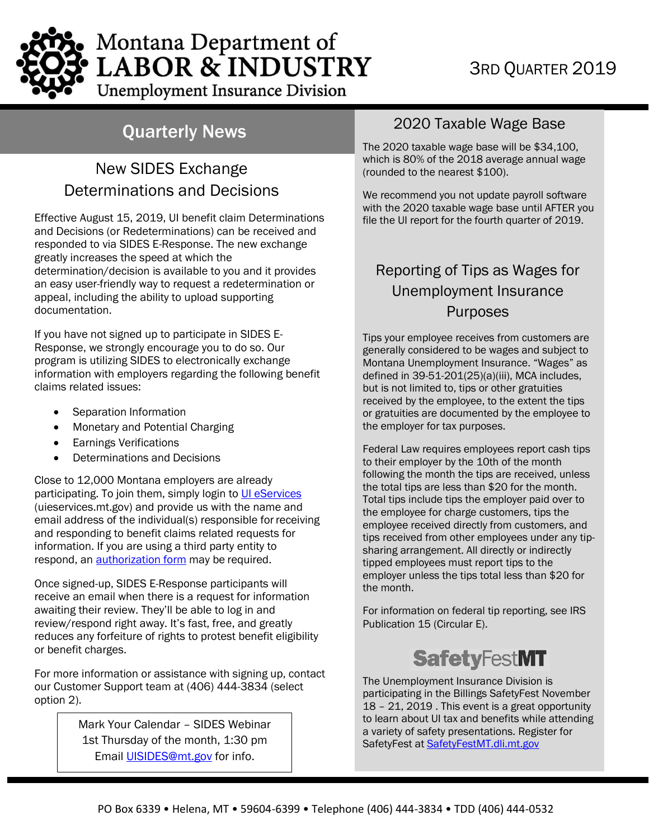# Montana Department of **LABOR & INDUSTRY Unemployment Insurance Division**

## Quarterly News

### New SIDES Exchange Determinations and Decisions

Effective August 15, 2019, UI benefit claim Determinations and Decisions (or Redeterminations) can be received and responded to via SIDES E-Response. The new exchange greatly increases the speed at which the determination/decision is available to you and it provides an easy user-friendly way to request a redetermination or appeal, including the ability to upload supporting documentation.

If you have not signed up to participate in SIDES E-Response, we strongly encourage you to do so. Our program is utilizing SIDES to electronically exchange information with employers regarding the following benefit claims related issues:

- Separation Information
- Monetary and Potential Charging
- Earnings Verifications
- Determinations and Decisions

Close to 12,000 Montana employers are already participating. To join them, simply login to [UI eServices](https://uieservices.mt.gov/_/) [\(uieservices.mt.gov\)](https://uieservices.mt.gov/) and provide us with the name and email address of the individual(s) responsible forreceiving and responding to benefit claims related requests for information. If you are using a third party entity to respond, an **authorization form** may be required.

Once signed-up, SIDES E-Response participants will receive an email when there is a request for information awaiting their review. They'll be able to log in and review/respond right away. It's fast, free, and greatly reduces any forfeiture of rights to protest benefit eligibility or benefit charges.

For more information or assistance with signing up, contact our Customer Support team at (406) 444-3834 (select option 2).

> Mark Your Calendar – SIDES Webinar 1st Thursday of the month, 1:30 pm Email [UISIDES@mt.gov](mailto:UISIDES@mt.gov) for info.

### 2020 Taxable Wage Base

The 2020 taxable wage base will be \$34,100, which is 80% of the 2018 average annual wage (rounded to the nearest \$100).

We recommend you not update payroll software with the 2020 taxable wage base until AFTER you file the UI report for the fourth quarter of 2019.

### Reporting of Tips as Wages for Unemployment Insurance Purposes

Tips your employee receives from customers are generally considered to be wages and subject to Montana Unemployment Insurance. "Wages" as defined in 39-51-201(25)(a)(iii), MCA includes, but is not limited to, tips or other gratuities received by the employee, to the extent the tips or gratuities are documented by the employee to the employer for tax purposes.

Federal Law requires employees report cash tips to their employer by the 10th of the month following the month the tips are received, unless the total tips are less than \$20 for the month. Total tips include tips the employer paid over to the employee for charge customers, tips the employee received directly from customers, and tips received from other employees under any tipsharing arrangement. All directly or indirectly tipped employees must report tips to the employer unless the tips total less than \$20 for the month.

For information on federal tip reporting, see IRS Publication 15 (Circular E).

# **SafetyFestMT**

The Unemployment Insurance Division is participating in the Billings SafetyFest November 18 – 21, 2019 . This event is a great opportunity to learn about UI tax and benefits while attending a variety of safety presentations. Register for SafetyFest at [SafetyFestMT.dli.mt.gov](http://safetyfestmt.dli.mt.gov/)